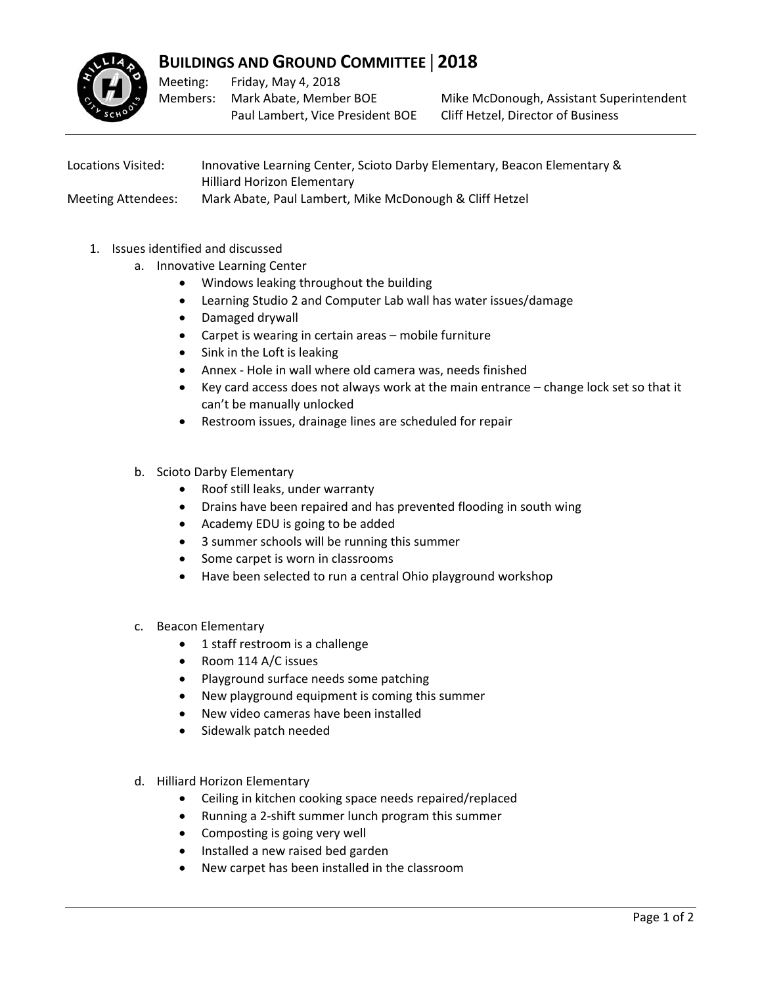

## **BUILDINGS AND GROUND COMMITTEE** | **2018**

Meeting: Members: Friday, May 4, 2018 Mark Abate, Member BOE Paul Lambert, Vice President BOE

Mike McDonough, Assistant Superintendent Cliff Hetzel, Director of Business

Locations Visited: Innovative Learning Center, Scioto Darby Elementary, Beacon Elementary & Hilliard Horizon Elementary Meeting Attendees: Mark Abate, Paul Lambert, Mike McDonough & Cliff Hetzel

- 1. Issues identified and discussed
	- a. Innovative Learning Center
		- Windows leaking throughout the building
		- Learning Studio 2 and Computer Lab wall has water issues/damage
		- Damaged drywall
		- Carpet is wearing in certain areas mobile furniture
		- Sink in the Loft is leaking
		- Annex Hole in wall where old camera was, needs finished
		- Key card access does not always work at the main entrance change lock set so that it can't be manually unlocked
		- Restroom issues, drainage lines are scheduled for repair
	- b. Scioto Darby Elementary
		- Roof still leaks, under warranty
		- Drains have been repaired and has prevented flooding in south wing
		- Academy EDU is going to be added
		- 3 summer schools will be running this summer
		- Some carpet is worn in classrooms
		- Have been selected to run a central Ohio playground workshop
	- c. Beacon Elementary
		- 1 staff restroom is a challenge
		- Room 114 A/C issues
		- Playground surface needs some patching
		- New playground equipment is coming this summer
		- New video cameras have been installed
		- Sidewalk patch needed
	- d. Hilliard Horizon Elementary
		- Ceiling in kitchen cooking space needs repaired/replaced
		- Running a 2‐shift summer lunch program this summer
		- Composting is going very well
		- Installed a new raised bed garden
		- New carpet has been installed in the classroom